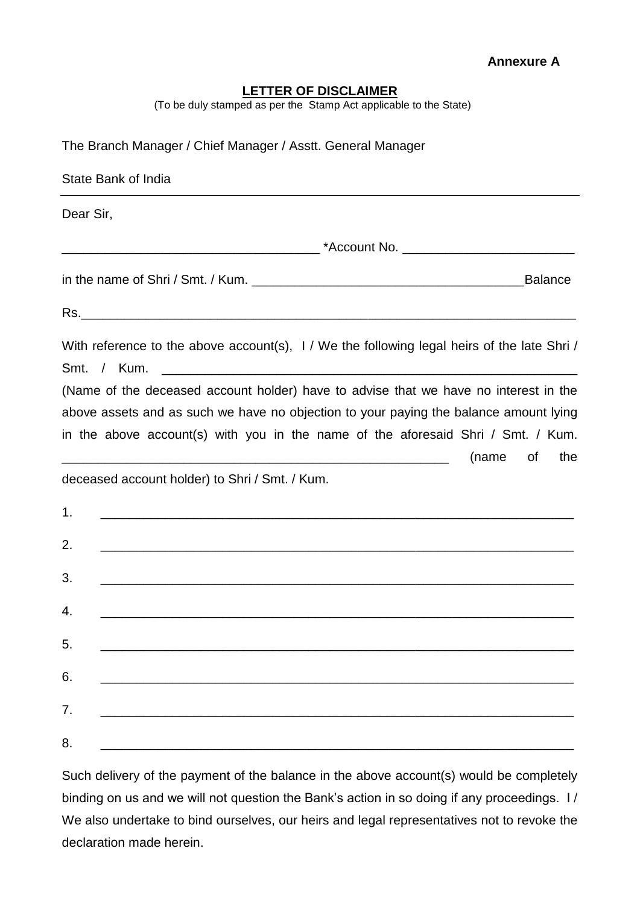## **LETTER OF DISCLAIMER**

(To be duly stamped as per the Stamp Act applicable to the State)

| The Branch Manager / Chief Manager / Asstt. General Manager                                                                                                                                                                                                                                                                                      |  |  |  |  |
|--------------------------------------------------------------------------------------------------------------------------------------------------------------------------------------------------------------------------------------------------------------------------------------------------------------------------------------------------|--|--|--|--|
| State Bank of India                                                                                                                                                                                                                                                                                                                              |  |  |  |  |
| Dear Sir,                                                                                                                                                                                                                                                                                                                                        |  |  |  |  |
|                                                                                                                                                                                                                                                                                                                                                  |  |  |  |  |
| <b>Balance</b>                                                                                                                                                                                                                                                                                                                                   |  |  |  |  |
|                                                                                                                                                                                                                                                                                                                                                  |  |  |  |  |
| With reference to the above account(s), 1/ We the following legal heirs of the late Shri/<br>Smt. / Kum.<br><u> 1989 - Johann Harry Harry Harry Harry Harry Harry Harry Harry Harry Harry Harry Harry Harry Harry Harry Harry Harry Harry Harry Harry Harry Harry Harry Harry Harry Harry Harry Harry Harry Harry Harry Harry Harry Harry Ha</u> |  |  |  |  |
| (Name of the deceased account holder) have to advise that we have no interest in the                                                                                                                                                                                                                                                             |  |  |  |  |
| above assets and as such we have no objection to your paying the balance amount lying                                                                                                                                                                                                                                                            |  |  |  |  |
| in the above account(s) with you in the name of the aforesaid Shri / Smt. / Kum.                                                                                                                                                                                                                                                                 |  |  |  |  |
| (name<br>of<br>the                                                                                                                                                                                                                                                                                                                               |  |  |  |  |
| deceased account holder) to Shri / Smt. / Kum.                                                                                                                                                                                                                                                                                                   |  |  |  |  |
| 1.                                                                                                                                                                                                                                                                                                                                               |  |  |  |  |
| 2.                                                                                                                                                                                                                                                                                                                                               |  |  |  |  |
| 3.<br><u> 1989 - Johann Stoff, amerikansk politiker (d. 1989)</u>                                                                                                                                                                                                                                                                                |  |  |  |  |
| 4.<br><u> 2002 - 2003 - 2004 - 2005 - 2006 - 2007 - 2008 - 2009 - 2009 - 2009 - 2009 - 2009 - 2009 - 2009 - 2009 - 200</u>                                                                                                                                                                                                                       |  |  |  |  |
| 5.                                                                                                                                                                                                                                                                                                                                               |  |  |  |  |
| 6.                                                                                                                                                                                                                                                                                                                                               |  |  |  |  |
| 7.                                                                                                                                                                                                                                                                                                                                               |  |  |  |  |
| 8.                                                                                                                                                                                                                                                                                                                                               |  |  |  |  |

Such delivery of the payment of the balance in the above account(s) would be completely binding on us and we will not question the Bank's action in so doing if any proceedings. I / We also undertake to bind ourselves, our heirs and legal representatives not to revoke the declaration made herein.